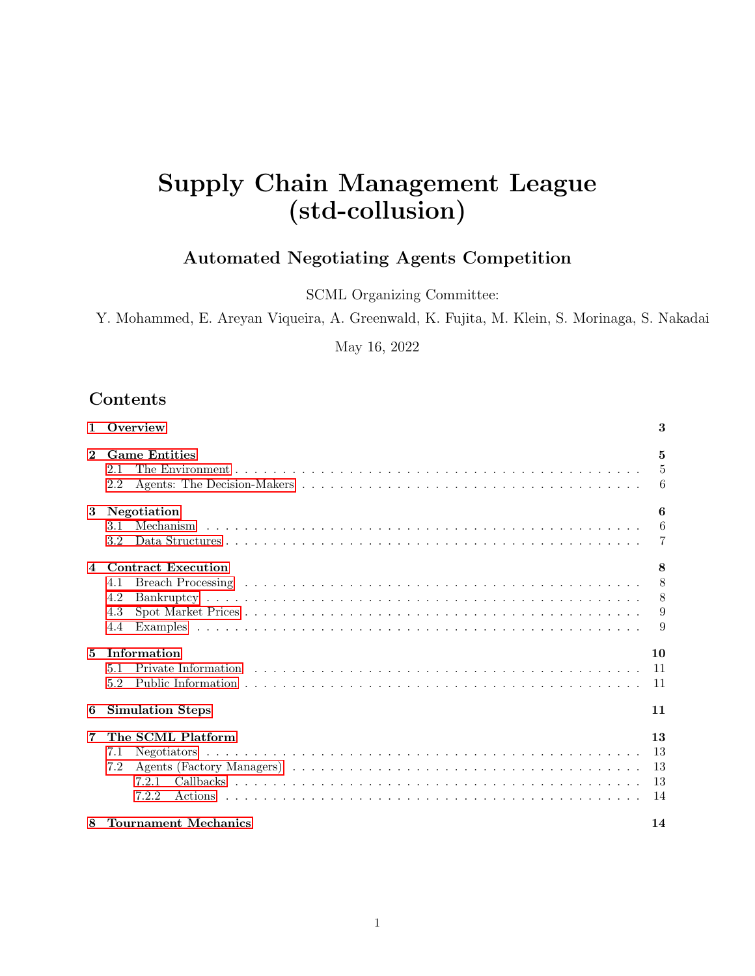# <span id="page-0-0"></span>Supply Chain Management League (std-collusion)

## Automated Negotiating Agents Competition

SCML Organizing Committee:

Y. Mohammed, E. Areyan Viqueira, A. Greenwald, K. Fujita, M. Klein, S. Morinaga, S. Nakadai

May 16, 2022

## Contents

| 1              | Overview                                              | 3                          |
|----------------|-------------------------------------------------------|----------------------------|
| $\mathbf 2$    | <b>Game Entities</b><br>2.1<br>2.2                    | 5<br>$\overline{5}$<br>6   |
| 3              | Negotiation<br>Mechanism<br>3.1<br>3.2                | 6<br>6<br>7                |
| $\overline{4}$ | <b>Contract Execution</b><br>4.1<br>4.2<br>4.3<br>4.4 | 8<br>8<br>8<br>9<br>9      |
| $\mathbf{5}$   | Information<br>5.1<br>5.2                             | 10<br>11<br>11             |
| 6              | <b>Simulation Steps</b><br>11                         |                            |
| 7              | The SCML Platform<br>7.1<br>7.2<br>7.2.1<br>7.2.2     | 13<br>13<br>13<br>13<br>14 |
| 8              | <b>Tournament Mechanics</b>                           | 14                         |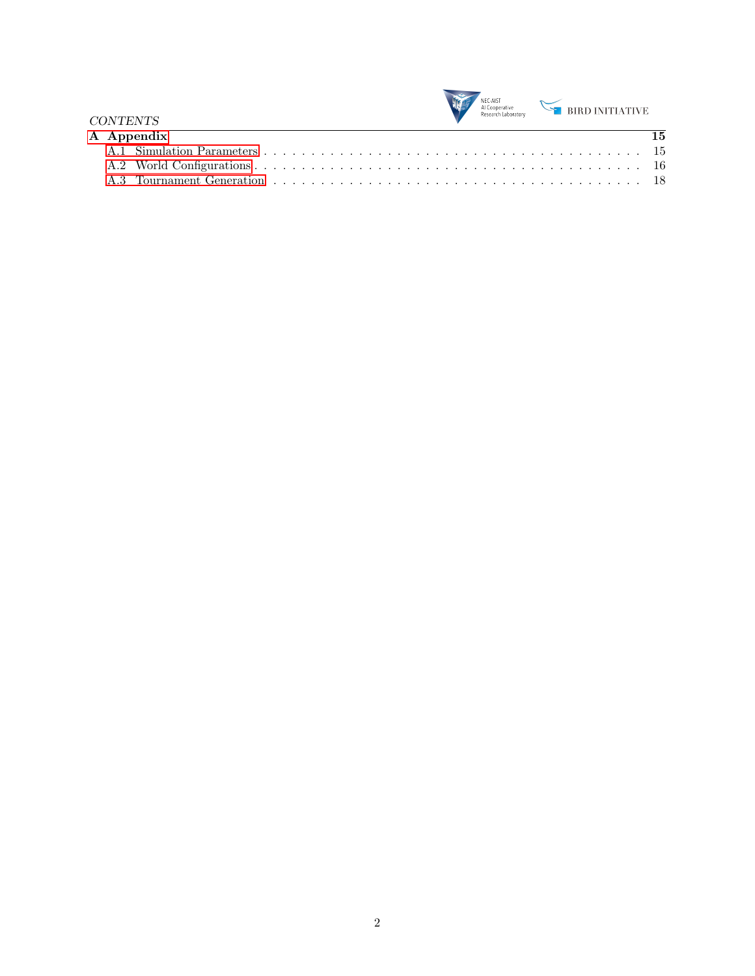CONTENTS

|  | <b>NEC-AIST</b><br>Al Cooperative<br>Research Laboratory |
|--|----------------------------------------------------------|
|--|----------------------------------------------------------|

 $\sum_{\mathbf{B} \in \mathcal{B}}$ BIRD INITIATIVE

|  | A Appendix | -15 |
|--|------------|-----|
|  |            |     |
|  |            |     |
|  |            |     |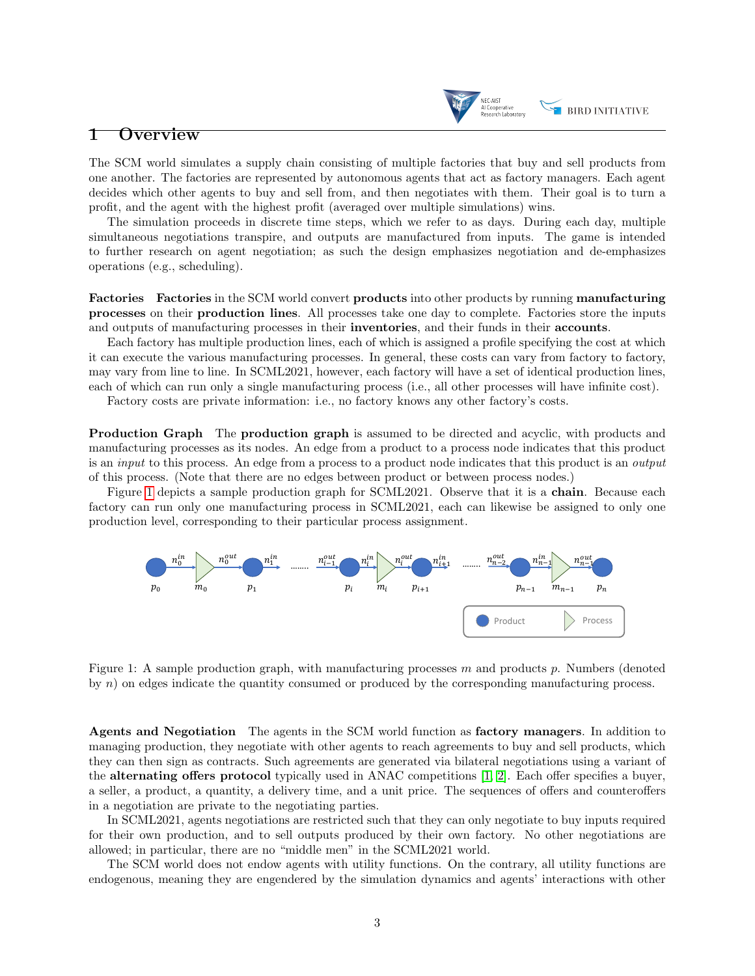

### <span id="page-2-0"></span>1 Overview

The SCM world simulates a supply chain consisting of multiple factories that buy and sell products from one another. The factories are represented by autonomous agents that act as factory managers. Each agent decides which other agents to buy and sell from, and then negotiates with them. Their goal is to turn a profit, and the agent with the highest profit (averaged over multiple simulations) wins.

The simulation proceeds in discrete time steps, which we refer to as days. During each day, multiple simultaneous negotiations transpire, and outputs are manufactured from inputs. The game is intended to further research on agent negotiation; as such the design emphasizes negotiation and de-emphasizes operations (e.g., scheduling).

Factories Factories in the SCM world convert products into other products by running manufacturing processes on their production lines. All processes take one day to complete. Factories store the inputs and outputs of manufacturing processes in their **inventories**, and their funds in their **accounts**.

Each factory has multiple production lines, each of which is assigned a profile specifying the cost at which it can execute the various manufacturing processes. In general, these costs can vary from factory to factory, may vary from line to line. In SCML2021, however, each factory will have a set of identical production lines, each of which can run only a single manufacturing process (i.e., all other processes will have infinite cost).

Factory costs are private information: i.e., no factory knows any other factory's costs.

**Production Graph** The **production graph** is assumed to be directed and acyclic, with products and manufacturing processes as its nodes. An edge from a product to a process node indicates that this product is an input to this process. An edge from a process to a product node indicates that this product is an output of this process. (Note that there are no edges between product or between process nodes.)

Figure [1](#page-2-1) depicts a sample production graph for SCML2021. Observe that it is a **chain**. Because each factory can run only one manufacturing process in SCML2021, each can likewise be assigned to only one production level, corresponding to their particular process assignment.

<span id="page-2-1"></span>

Figure 1: A sample production graph, with manufacturing processes  $m$  and products  $p$ . Numbers (denoted by n) on edges indicate the quantity consumed or produced by the corresponding manufacturing process.

Agents and Negotiation The agents in the SCM world function as factory managers. In addition to managing production, they negotiate with other agents to reach agreements to buy and sell products, which they can then sign as contracts. Such agreements are generated via bilateral negotiations using a variant of the alternating offers protocol typically used in ANAC competitions [\[1,](#page-18-0) [2\]](#page-19-0). Each offer specifies a buyer, a seller, a product, a quantity, a delivery time, and a unit price. The sequences of offers and counteroffers in a negotiation are private to the negotiating parties.

In SCML2021, agents negotiations are restricted such that they can only negotiate to buy inputs required for their own production, and to sell outputs produced by their own factory. No other negotiations are allowed; in particular, there are no "middle men" in the SCML2021 world.

The SCM world does not endow agents with utility functions. On the contrary, all utility functions are endogenous, meaning they are engendered by the simulation dynamics and agents' interactions with other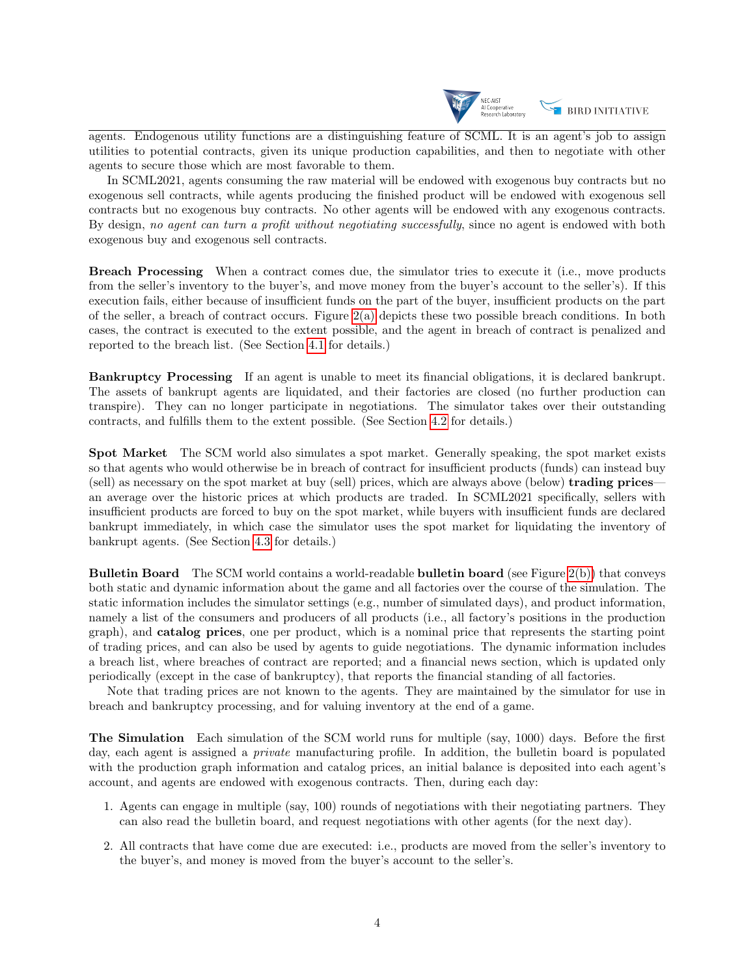

agents. Endogenous utility functions are a distinguishing feature of SCML. It is an agent's job to assign utilities to potential contracts, given its unique production capabilities, and then to negotiate with other agents to secure those which are most favorable to them.

In SCML2021, agents consuming the raw material will be endowed with exogenous buy contracts but no exogenous sell contracts, while agents producing the finished product will be endowed with exogenous sell contracts but no exogenous buy contracts. No other agents will be endowed with any exogenous contracts. By design, no agent can turn a profit without negotiating successfully, since no agent is endowed with both exogenous buy and exogenous sell contracts.

Breach Processing When a contract comes due, the simulator tries to execute it (i.e., move products from the seller's inventory to the buyer's, and move money from the buyer's account to the seller's). If this execution fails, either because of insufficient funds on the part of the buyer, insufficient products on the part of the seller, a breach of contract occurs. Figure [2\(a\)](#page-4-2) depicts these two possible breach conditions. In both cases, the contract is executed to the extent possible, and the agent in breach of contract is penalized and reported to the breach list. (See Section [4.1](#page-7-1) for details.)

Bankruptcy Processing If an agent is unable to meet its financial obligations, it is declared bankrupt. The assets of bankrupt agents are liquidated, and their factories are closed (no further production can transpire). They can no longer participate in negotiations. The simulator takes over their outstanding contracts, and fulfills them to the extent possible. (See Section [4.2](#page-7-2) for details.)

Spot Market The SCM world also simulates a spot market. Generally speaking, the spot market exists so that agents who would otherwise be in breach of contract for insufficient products (funds) can instead buy (sell) as necessary on the spot market at buy (sell) prices, which are always above (below) trading prices an average over the historic prices at which products are traded. In SCML2021 specifically, sellers with insufficient products are forced to buy on the spot market, while buyers with insufficient funds are declared bankrupt immediately, in which case the simulator uses the spot market for liquidating the inventory of bankrupt agents. (See Section [4.3](#page-8-0) for details.)

Bulletin Board The SCM world contains a world-readable bulletin board (see Figure [2\(b\)\)](#page-4-3) that conveys both static and dynamic information about the game and all factories over the course of the simulation. The static information includes the simulator settings (e.g., number of simulated days), and product information, namely a list of the consumers and producers of all products (i.e., all factory's positions in the production graph), and catalog prices, one per product, which is a nominal price that represents the starting point of trading prices, and can also be used by agents to guide negotiations. The dynamic information includes a breach list, where breaches of contract are reported; and a financial news section, which is updated only periodically (except in the case of bankruptcy), that reports the financial standing of all factories.

Note that trading prices are not known to the agents. They are maintained by the simulator for use in breach and bankruptcy processing, and for valuing inventory at the end of a game.

The Simulation Each simulation of the SCM world runs for multiple (say, 1000) days. Before the first day, each agent is assigned a *private* manufacturing profile. In addition, the bulletin board is populated with the production graph information and catalog prices, an initial balance is deposited into each agent's account, and agents are endowed with exogenous contracts. Then, during each day:

- 1. Agents can engage in multiple (say, 100) rounds of negotiations with their negotiating partners. They can also read the bulletin board, and request negotiations with other agents (for the next day).
- 2. All contracts that have come due are executed: i.e., products are moved from the seller's inventory to the buyer's, and money is moved from the buyer's account to the seller's.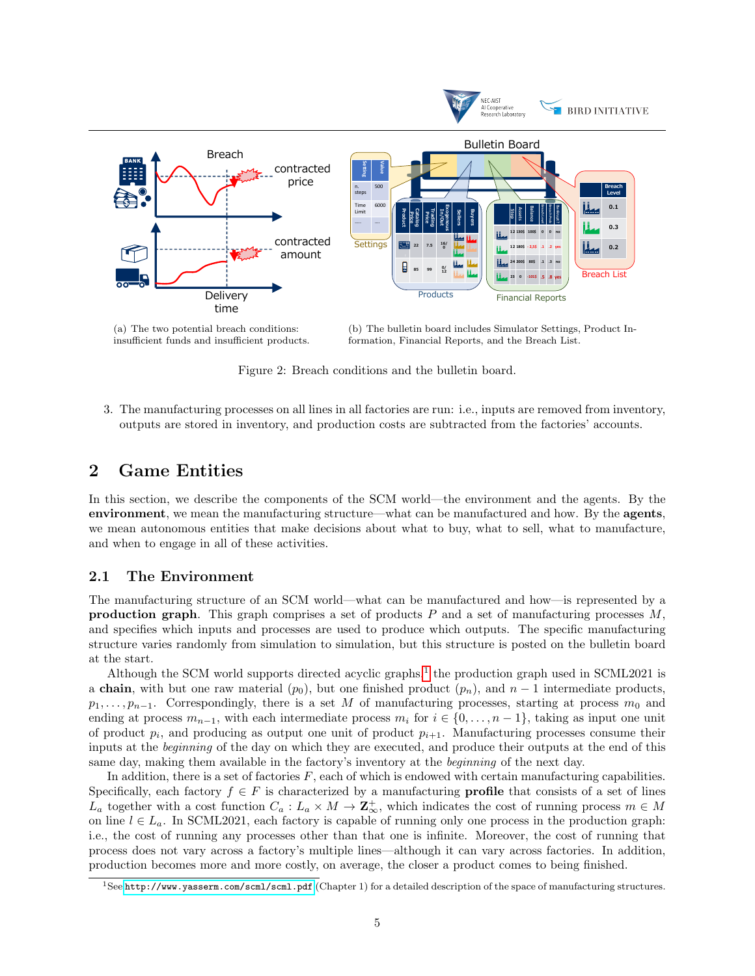<span id="page-4-2"></span>

(a) The two potential breach conditions: insufficient funds and insufficient products.

<span id="page-4-3"></span>(b) The bulletin board includes Simulator Settings, Product Information, Financial Reports, and the Breach List.

Figure 2: Breach conditions and the bulletin board.

3. The manufacturing processes on all lines in all factories are run: i.e., inputs are removed from inventory, outputs are stored in inventory, and production costs are subtracted from the factories' accounts.

## <span id="page-4-0"></span>2 Game Entities

In this section, we describe the components of the SCM world—the environment and the agents. By the environment, we mean the manufacturing structure—what can be manufactured and how. By the agents, we mean autonomous entities that make decisions about what to buy, what to sell, what to manufacture, and when to engage in all of these activities.

### <span id="page-4-1"></span>2.1 The Environment

The manufacturing structure of an SCM world—what can be manufactured and how—is represented by a **production graph**. This graph comprises a set of products P and a set of manufacturing processes  $M$ . and specifies which inputs and processes are used to produce which outputs. The specific manufacturing structure varies randomly from simulation to simulation, but this structure is posted on the bulletin board at the start.

Although the SCM world supports directed acyclic graphs,<sup>[1](#page-4-4)</sup> the production graph used in SCML2021 is a chain, with but one raw material  $(p_0)$ , but one finished product  $(p_n)$ , and  $n-1$  intermediate products,  $p_1, \ldots, p_{n-1}$ . Correspondingly, there is a set M of manufacturing processes, starting at process  $m_0$  and ending at process  $m_{n-1}$ , with each intermediate process  $m_i$  for  $i \in \{0, \ldots, n-1\}$ , taking as input one unit of product  $p_i$ , and producing as output one unit of product  $p_{i+1}$ . Manufacturing processes consume their inputs at the beginning of the day on which they are executed, and produce their outputs at the end of this same day, making them available in the factory's inventory at the beginning of the next day.

In addition, there is a set of factories  $F$ , each of which is endowed with certain manufacturing capabilities. Specifically, each factory  $f \in F$  is characterized by a manufacturing **profile** that consists of a set of lines  $L_a$  together with a cost function  $C_a: L_a \times M \to \mathbb{Z}_{\infty}^+$ , which indicates the cost of running process  $m \in M$ on line  $l \in L_a$ . In SCML2021, each factory is capable of running only one process in the production graph: i.e., the cost of running any processes other than that one is infinite. Moreover, the cost of running that process does not vary across a factory's multiple lines—although it can vary across factories. In addition, production becomes more and more costly, on average, the closer a product comes to being finished.

<span id="page-4-4"></span><sup>1</sup>See <http://www.yasserm.com/scml/scml.pdf> (Chapter 1) for a detailed description of the space of manufacturing structures.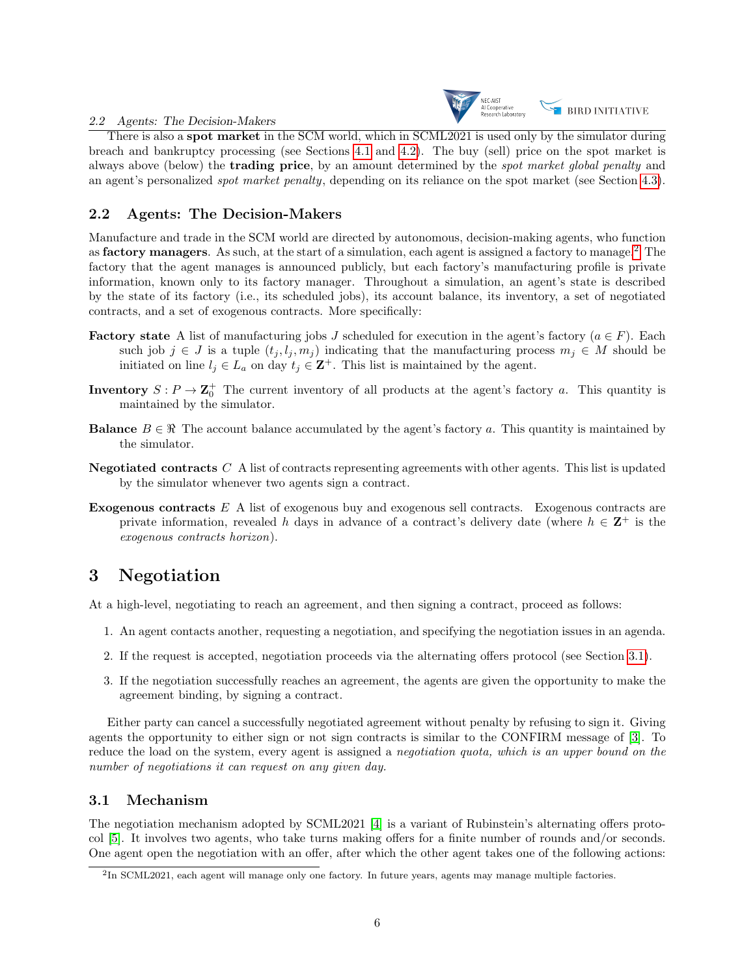

2.2 Agents: The Decision-Makers

There is also a **spot market** in the SCM world, which in SCML2021 is used only by the simulator during breach and bankruptcy processing (see Sections [4.1](#page-7-1) and [4.2\)](#page-7-2). The buy (sell) price on the spot market is always above (below) the **trading price**, by an amount determined by the *spot market global penalty* and an agent's personalized spot market penalty, depending on its reliance on the spot market (see Section [4.3\)](#page-8-0).

## <span id="page-5-0"></span>2.2 Agents: The Decision-Makers

Manufacture and trade in the SCM world are directed by autonomous, decision-making agents, who function as factory managers. As such, at the start of a simulation, each agent is assigned a factory to manage.[2](#page-5-3) The factory that the agent manages is announced publicly, but each factory's manufacturing profile is private information, known only to its factory manager. Throughout a simulation, an agent's state is described by the state of its factory (i.e., its scheduled jobs), its account balance, its inventory, a set of negotiated contracts, and a set of exogenous contracts. More specifically:

- **Factory state** A list of manufacturing jobs J scheduled for execution in the agent's factory ( $a \in F$ ). Each such job j ∈ J is a tuple  $(t_j, l_j, m_j)$  indicating that the manufacturing process  $m_i \in M$  should be initiated on line  $l_j \in L_a$  on day  $t_j \in \mathbf{Z}^+$ . This list is maintained by the agent.
- **Inventory**  $S: P \to \mathbb{Z}_0^+$  The current inventory of all products at the agent's factory a. This quantity is maintained by the simulator.
- **Balance**  $B \in \mathcal{R}$  The account balance accumulated by the agent's factory a. This quantity is maintained by the simulator.
- **Negotiated contracts**  $C$  A list of contracts representing agreements with other agents. This list is updated by the simulator whenever two agents sign a contract.
- **Exogenous contracts**  $E$  A list of exogenous buy and exogenous sell contracts. Exogenous contracts are private information, revealed h days in advance of a contract's delivery date (where  $h \in \mathbb{Z}^+$  is the exogenous contracts horizon).

## <span id="page-5-1"></span>3 Negotiation

At a high-level, negotiating to reach an agreement, and then signing a contract, proceed as follows:

- 1. An agent contacts another, requesting a negotiation, and specifying the negotiation issues in an agenda.
- 2. If the request is accepted, negotiation proceeds via the alternating offers protocol (see Section [3.1\)](#page-5-2).
- 3. If the negotiation successfully reaches an agreement, the agents are given the opportunity to make the agreement binding, by signing a contract.

Either party can cancel a successfully negotiated agreement without penalty by refusing to sign it. Giving agents the opportunity to either sign or not sign contracts is similar to the CONFIRM message of [\[3\]](#page-19-1). To reduce the load on the system, every agent is assigned a negotiation quota, which is an upper bound on the number of negotiations it can request on any given day.

## <span id="page-5-2"></span>3.1 Mechanism

The negotiation mechanism adopted by SCML2021 [\[4\]](#page-19-2) is a variant of Rubinstein's alternating offers protocol [\[5\]](#page-19-3). It involves two agents, who take turns making offers for a finite number of rounds and/or seconds. One agent open the negotiation with an offer, after which the other agent takes one of the following actions:

<span id="page-5-3"></span><sup>&</sup>lt;sup>2</sup>In SCML2021, each agent will manage only one factory. In future years, agents may manage multiple factories.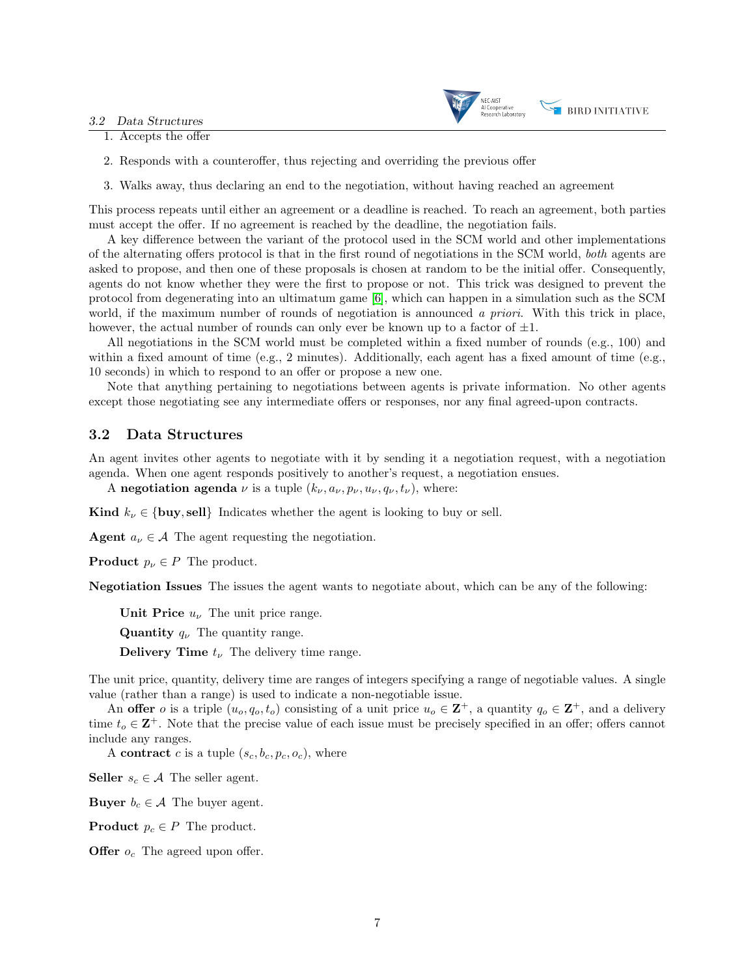3.2 Data Structures



- 1. Accepts the offer
- 2. Responds with a counteroffer, thus rejecting and overriding the previous offer
- 3. Walks away, thus declaring an end to the negotiation, without having reached an agreement

This process repeats until either an agreement or a deadline is reached. To reach an agreement, both parties must accept the offer. If no agreement is reached by the deadline, the negotiation fails.

A key difference between the variant of the protocol used in the SCM world and other implementations of the alternating offers protocol is that in the first round of negotiations in the SCM world, both agents are asked to propose, and then one of these proposals is chosen at random to be the initial offer. Consequently, agents do not know whether they were the first to propose or not. This trick was designed to prevent the protocol from degenerating into an ultimatum game [\[6\]](#page-19-4), which can happen in a simulation such as the SCM world, if the maximum number of rounds of negotiation is announced a priori. With this trick in place, however, the actual number of rounds can only ever be known up to a factor of  $\pm 1$ .

All negotiations in the SCM world must be completed within a fixed number of rounds (e.g., 100) and within a fixed amount of time (e.g., 2 minutes). Additionally, each agent has a fixed amount of time (e.g., 10 seconds) in which to respond to an offer or propose a new one.

Note that anything pertaining to negotiations between agents is private information. No other agents except those negotiating see any intermediate offers or responses, nor any final agreed-upon contracts.

### <span id="page-6-0"></span>3.2 Data Structures

An agent invites other agents to negotiate with it by sending it a negotiation request, with a negotiation agenda. When one agent responds positively to another's request, a negotiation ensues.

A negotiation agenda  $\nu$  is a tuple  $(k_{\nu}, a_{\nu}, p_{\nu}, u_{\nu}, q_{\nu}, t_{\nu})$ , where:

Kind  $k_{\nu} \in \{$ buy, sell} Indicates whether the agent is looking to buy or sell.

Agent  $a_{\nu} \in \mathcal{A}$  The agent requesting the negotiation.

**Product**  $p_{\nu} \in P$  The product.

Negotiation Issues The issues the agent wants to negotiate about, which can be any of the following:

Unit Price  $u_{\nu}$  The unit price range.

**Quantity**  $q_{\nu}$  The quantity range.

**Delivery Time**  $t_{\nu}$  The delivery time range.

The unit price, quantity, delivery time are ranges of integers specifying a range of negotiable values. A single value (rather than a range) is used to indicate a non-negotiable issue.

An offer *o* is a triple  $(u_o, q_o, t_o)$  consisting of a unit price  $u_o \in \mathbb{Z}^+$ , a quantity  $q_o \in \mathbb{Z}^+$ , and a delivery time  $t_o \in \mathbb{Z}^+$ . Note that the precise value of each issue must be precisely specified in an offer; offers cannot include any ranges.

A contract c is a tuple  $(s_c, b_c, p_c, o_c)$ , where

**Seller**  $s_c \in \mathcal{A}$  The seller agent.

**Buyer**  $b_c \in \mathcal{A}$  The buyer agent.

**Product**  $p_c \in P$  The product.

**Offer**  $o_c$  The agreed upon offer.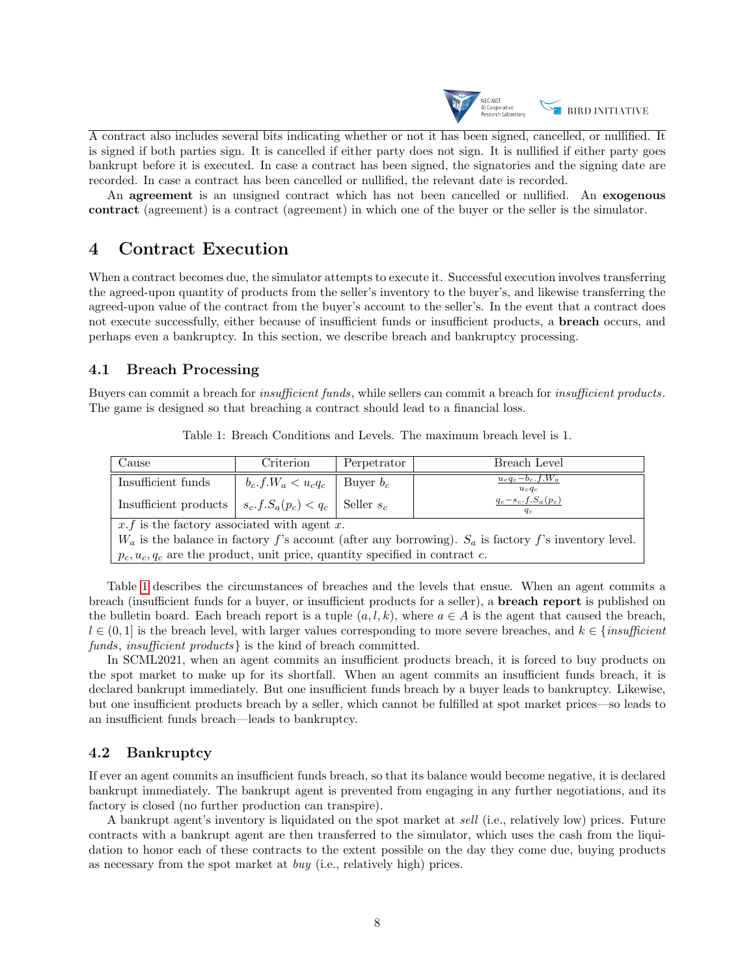

A contract also includes several bits indicating whether or not it has been signed, cancelled, or nullified. It is signed if both parties sign. It is cancelled if either party does not sign. It is nullified if either party goes bankrupt before it is executed. In case a contract has been signed, the signatories and the signing date are recorded. In case a contract has been cancelled or nullified, the relevant date is recorded.

An **agreement** is an unsigned contract which has not been cancelled or nullified. An **exogenous** contract (agreement) is a contract (agreement) in which one of the buyer or the seller is the simulator.

## <span id="page-7-0"></span>4 Contract Execution

When a contract becomes due, the simulator attempts to execute it. Successful execution involves transferring the agreed-upon quantity of products from the seller's inventory to the buyer's, and likewise transferring the agreed-upon value of the contract from the buyer's account to the seller's. In the event that a contract does not execute successfully, either because of insufficient funds or insufficient products, a breach occurs, and perhaps even a bankruptcy. In this section, we describe breach and bankruptcy processing.

### <span id="page-7-1"></span>4.1 Breach Processing

<span id="page-7-3"></span>Buyers can commit a breach for insufficient funds, while sellers can commit a breach for insufficient products. The game is designed so that breaching a contract should lead to a financial loss.

| Cause                                                                                                    | Criterion                           | Perpetrator | Breach Level                             |  |
|----------------------------------------------------------------------------------------------------------|-------------------------------------|-------------|------------------------------------------|--|
| Insufficient funds                                                                                       | $b_c.f.W_a < u_c q_c$   Buyer $b_c$ |             | $u_c q_c - b_c \cdot f.W_a$<br>$u_c q_c$ |  |
| Insufficient products $ s_c, f, S_a(p_c) < q_c$   Seller $s_c$                                           |                                     |             | $q_c-s_c.f.S_a(p_c)$<br>$q_c$            |  |
| $x.f$ is the factory associated with agent x.                                                            |                                     |             |                                          |  |
| $W_a$ is the balance in factory f's account (after any borrowing). $S_a$ is factory f's inventory level. |                                     |             |                                          |  |

 $p_c, u_c, q_c$  are the product, unit price, quantity specified in contract c.

Table [1](#page-7-3) describes the circumstances of breaches and the levels that ensue. When an agent commits a breach (insufficient funds for a buyer, or insufficient products for a seller), a breach report is published on the bulletin board. Each breach report is a tuple  $(a, l, k)$ , where  $a \in A$  is the agent that caused the breach,  $l \in (0, 1]$  is the breach level, with larger values corresponding to more severe breaches, and  $k \in \{insufficient$ funds, insufficient products is the kind of breach committed.

In SCML2021, when an agent commits an insufficient products breach, it is forced to buy products on the spot market to make up for its shortfall. When an agent commits an insufficient funds breach, it is declared bankrupt immediately. But one insufficient funds breach by a buyer leads to bankruptcy. Likewise, but one insufficient products breach by a seller, which cannot be fulfilled at spot market prices—so leads to an insufficient funds breach—leads to bankruptcy.

### <span id="page-7-2"></span>4.2 Bankruptcy

If ever an agent commits an insufficient funds breach, so that its balance would become negative, it is declared bankrupt immediately. The bankrupt agent is prevented from engaging in any further negotiations, and its factory is closed (no further production can transpire).

A bankrupt agent's inventory is liquidated on the spot market at sell (i.e., relatively low) prices. Future contracts with a bankrupt agent are then transferred to the simulator, which uses the cash from the liquidation to honor each of these contracts to the extent possible on the day they come due, buying products as necessary from the spot market at buy (i.e., relatively high) prices.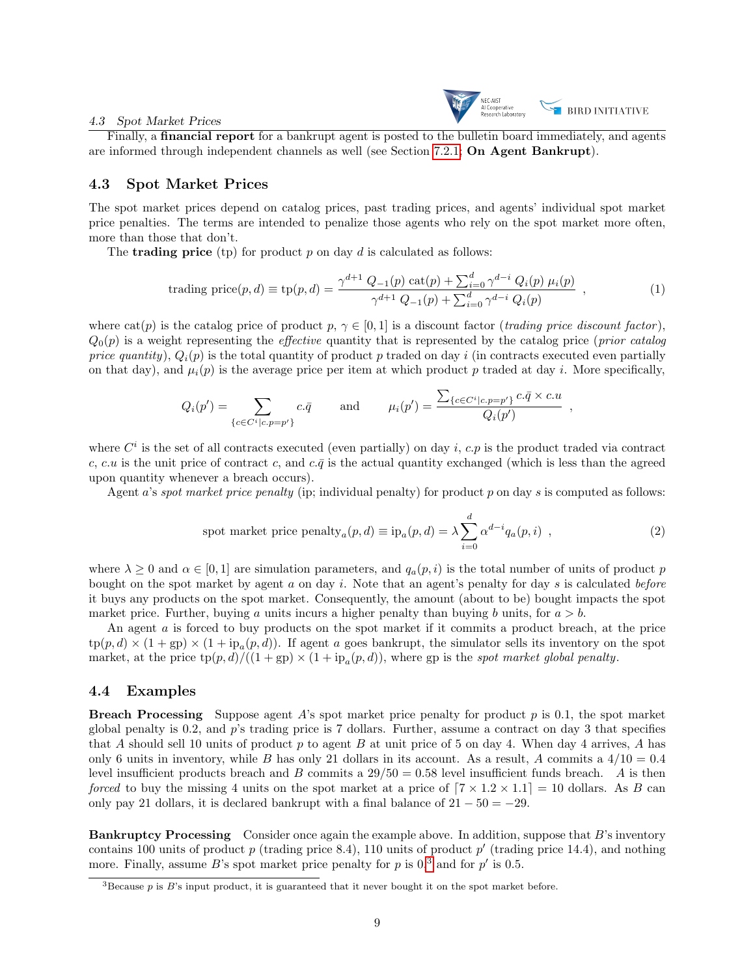## NEC-AIST<br>Al Cooperative<br>Research Laborator  $\geq$  BIRD INITIATIVE

#### 4.3 Spot Market Prices

Finally, a **financial report** for a bankrupt agent is posted to the bulletin board immediately, and agents are informed through independent channels as well (see Section [7.2.1;](#page-12-3) On Agent Bankrupt).

### <span id="page-8-0"></span>4.3 Spot Market Prices

The spot market prices depend on catalog prices, past trading prices, and agents' individual spot market price penalties. The terms are intended to penalize those agents who rely on the spot market more often, more than those that don't.

The **trading price** (tp) for product p on day d is calculated as follows:

<span id="page-8-3"></span>trading price
$$
(p, d)
$$
  $\equiv$  tp $(p, d)$   $\equiv \frac{\gamma^{d+1} Q_{-1}(p) \cot(p) + \sum_{i=0}^{d} \gamma^{d-i} Q_i(p) \mu_i(p)}{\gamma^{d+1} Q_{-1}(p) + \sum_{i=0}^{d} \gamma^{d-i} Q_i(p)}$ , (1)

where  $cat(p)$  is the catalog price of product p,  $\gamma \in [0, 1]$  is a discount factor (*trading price discount factor*),  $Q_0(p)$  is a weight representing the *effective* quantity that is represented by the catalog price (*prior catalog*) price quantity),  $Q_i(p)$  is the total quantity of product p traded on day i (in contracts executed even partially on that day), and  $\mu_i(p)$  is the average price per item at which product p traded at day i. More specifically,

$$
Q_i(p') = \sum_{\{c \in C^i | c, p = p'\}} c.\overline{q} \quad \text{and} \quad \mu_i(p') = \frac{\sum_{\{c \in C^i | c, p = p'\}} c.\overline{q} \times c.u}{Q_i(p')} ,
$$

where  $C^i$  is the set of all contracts executed (even partially) on day i, c.p is the product traded via contract c, c.u is the unit price of contract c, and c. $\bar{q}$  is the actual quantity exchanged (which is less than the agreed upon quantity whenever a breach occurs).

Agent a's spot market price penalty (ip; individual penalty) for product p on day s is computed as follows:

<span id="page-8-4"></span>spot market price penalty<sub>a</sub>
$$
(p, d) \equiv
$$
ip<sub>a</sub> $(p, d) = \lambda \sum_{i=0}^{d} \alpha^{d-i} q_a(p, i)$ , (2)

where  $\lambda \geq 0$  and  $\alpha \in [0,1]$  are simulation parameters, and  $q_a(p, i)$  is the total number of units of product p bought on the spot market by agent  $a$  on day  $i$ . Note that an agent's penalty for day  $s$  is calculated before it buys any products on the spot market. Consequently, the amount (about to be) bought impacts the spot market price. Further, buying a units incurs a higher penalty than buying b units, for  $a > b$ .

An agent a is forced to buy products on the spot market if it commits a product breach, at the price  $\text{tp}(p,d) \times (1 + \text{gp}) \times (1 + \text{ip}_a(p,d)).$  If agent a goes bankrupt, the simulator sells its inventory on the spot market, at the price  $\text{tp}(p,d)/((1+\text{gp}) \times (1+\text{ip}_a(p,d))$ , where gp is the spot market global penalty.

### <span id="page-8-1"></span>4.4 Examples

**Breach Processing** Suppose agent A's spot market price penalty for product  $p$  is 0.1, the spot market global penalty is 0.2, and p's trading price is 7 dollars. Further, assume a contract on day 3 that specifies that A should sell 10 units of product p to agent B at unit price of 5 on day 4. When day 4 arrives, A has only 6 units in inventory, while B has only 21 dollars in its account. As a result, A commits a  $4/10 = 0.4$ level insufficient products breach and B commits a  $29/50 = 0.58$  level insufficient funds breach. A is then forced to buy the missing 4 units on the spot market at a price of  $[7 \times 1.2 \times 1.1] = 10$  dollars. As B can only pay 21 dollars, it is declared bankrupt with a final balance of  $21 - 50 = -29$ .

Bankruptcy Processing Consider once again the example above. In addition, suppose that B's inventory contains 100 units of product  $p$  (trading price 8.4), 110 units of product  $p'$  (trading price 14.4), and nothing more. Finally, assume B's spot market price penalty for p is  $0,^3$  $0,^3$  and for p' is 0.5.

<span id="page-8-2"></span> $3$ Because p is B's input product, it is guaranteed that it never bought it on the spot market before.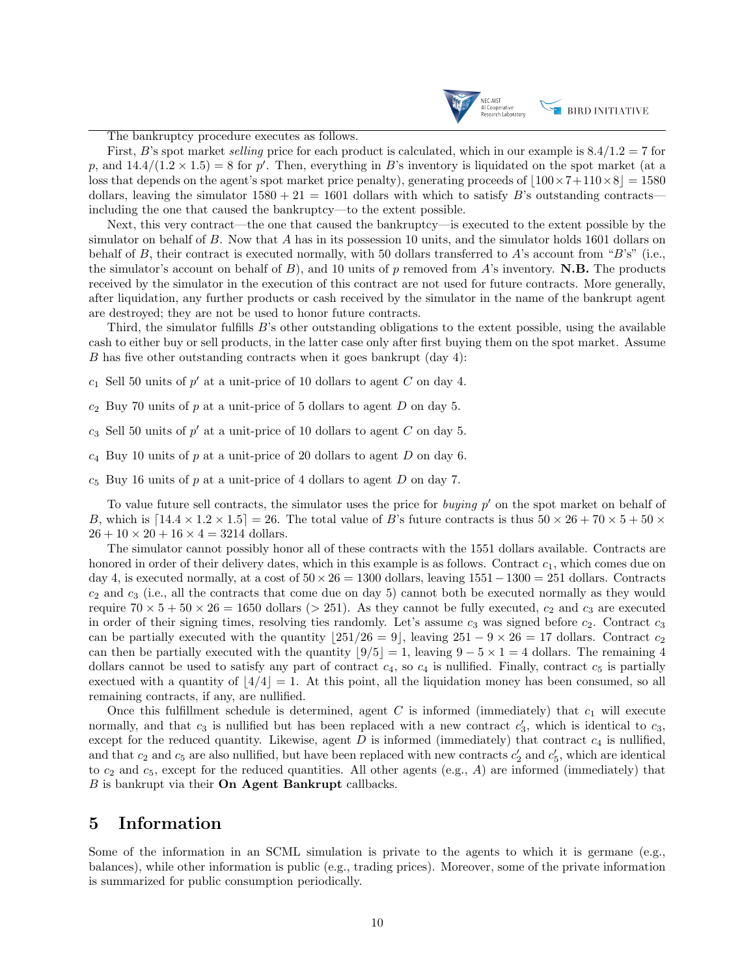

The bankruptcy procedure executes as follows.

First, B's spot market *selling* price for each product is calculated, which in our example is  $8.4/1.2 = 7$  for p, and  $14.4/(1.2 \times 1.5) = 8$  for p'. Then, everything in B's inventory is liquidated on the spot market (at a loss that depends on the agent's spot market price penalty), generating proceeds of  $|100 \times 7+110 \times 8| = 1580$ dollars, leaving the simulator  $1580 + 21 = 1601$  dollars with which to satisfy B's outstanding contracts including the one that caused the bankruptcy—to the extent possible.

Next, this very contract—the one that caused the bankruptcy—is executed to the extent possible by the simulator on behalf of B. Now that A has in its possession 10 units, and the simulator holds 1601 dollars on behalf of B, their contract is executed normally, with 50 dollars transferred to A's account from "B's" (i.e., the simulator's account on behalf of B), and 10 units of p removed from A's inventory. N.B. The products received by the simulator in the execution of this contract are not used for future contracts. More generally, after liquidation, any further products or cash received by the simulator in the name of the bankrupt agent are destroyed; they are not be used to honor future contracts.

Third, the simulator fulfills B's other outstanding obligations to the extent possible, using the available cash to either buy or sell products, in the latter case only after first buying them on the spot market. Assume B has five other outstanding contracts when it goes bankrupt (day 4):

- $c_1$  Sell 50 units of  $p'$  at a unit-price of 10 dollars to agent C on day 4.
- $c_2$  Buy 70 units of p at a unit-price of 5 dollars to agent D on day 5.
- $c_3$  Sell 50 units of  $p'$  at a unit-price of 10 dollars to agent C on day 5.
- $c_4$  Buy 10 units of p at a unit-price of 20 dollars to agent D on day 6.
- $c_5$  Buy 16 units of p at a unit-price of 4 dollars to agent D on day 7.

To value future sell contracts, the simulator uses the price for buying  $p'$  on the spot market on behalf of B, which is  $[14.4 \times 1.2 \times 1.5] = 26$ . The total value of B's future contracts is thus  $50 \times 26 + 70 \times 5 + 50 \times 10^{-1}$  $26 + 10 \times 20 + 16 \times 4 = 3214$  dollars.

The simulator cannot possibly honor all of these contracts with the 1551 dollars available. Contracts are honored in order of their delivery dates, which in this example is as follows. Contract  $c_1$ , which comes due on day 4, is executed normally, at a cost of  $50 \times 26 = 1300$  dollars, leaving  $1551 - 1300 = 251$  dollars. Contracts  $c_2$  and  $c_3$  (i.e., all the contracts that come due on day 5) cannot both be executed normally as they would require  $70 \times 5 + 50 \times 26 = 1650$  dollars (> 251). As they cannot be fully executed,  $c_2$  and  $c_3$  are executed in order of their signing times, resolving ties randomly. Let's assume  $c_3$  was signed before  $c_2$ . Contract  $c_3$ can be partially executed with the quantity  $\lfloor 251/26 = 9 \rfloor$ , leaving  $251 - 9 \times 26 = 17$  dollars. Contract  $c_2$ can then be partially executed with the quantity  $|9/5| = 1$ , leaving  $9 - 5 \times 1 = 4$  dollars. The remaining 4 dollars cannot be used to satisfy any part of contract  $c_4$ , so  $c_4$  is nullified. Finally, contract  $c_5$  is partially exectued with a quantity of  $|4/4|=1$ . At this point, all the liquidation money has been consumed, so all remaining contracts, if any, are nullified.

Once this fulfillment schedule is determined, agent C is informed (immediately) that  $c_1$  will execute normally, and that  $c_3$  is nullified but has been replaced with a new contract  $c'_3$ , which is identical to  $c_3$ , except for the reduced quantity. Likewise, agent  $D$  is informed (immediately) that contract  $c_4$  is nullified, and that  $c_2$  and  $c_5$  are also nullified, but have been replaced with new contracts  $c'_2$  and  $c'_5$ , which are identical to  $c_2$  and  $c_5$ , except for the reduced quantities. All other agents (e.g., A) are informed (immediately) that  $B$  is bankrupt via their **On Agent Bankrupt** callbacks.

## <span id="page-9-0"></span>5 Information

Some of the information in an SCML simulation is private to the agents to which it is germane (e.g., balances), while other information is public (e.g., trading prices). Moreover, some of the private information is summarized for public consumption periodically.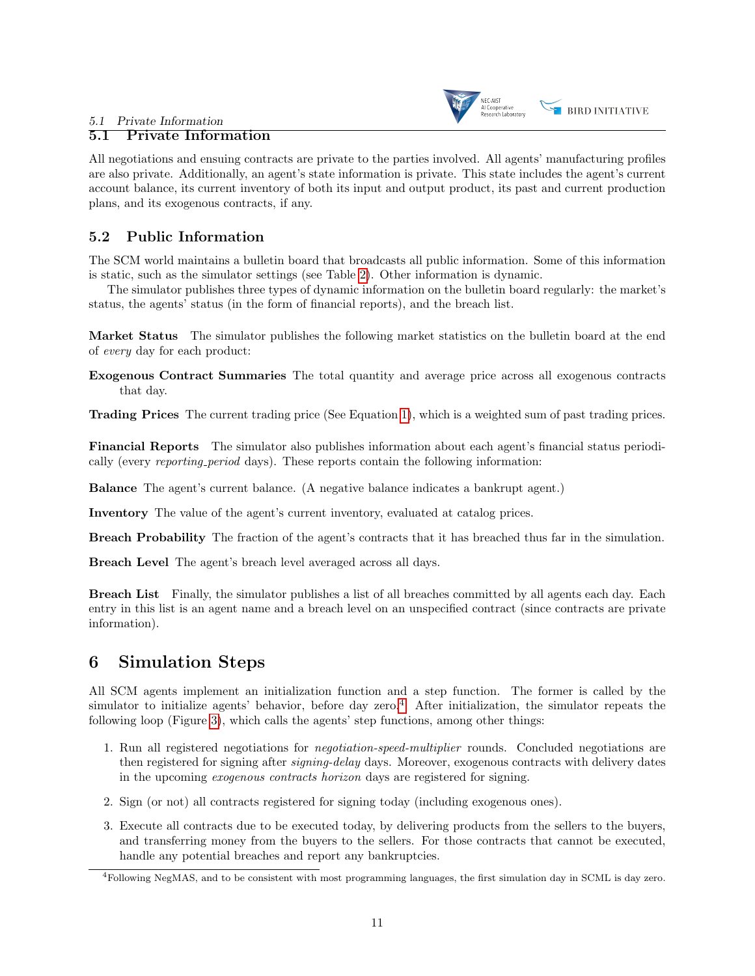

### <span id="page-10-0"></span>5.1 Private Information

All negotiations and ensuing contracts are private to the parties involved. All agents' manufacturing profiles are also private. Additionally, an agent's state information is private. This state includes the agent's current account balance, its current inventory of both its input and output product, its past and current production plans, and its exogenous contracts, if any.

## <span id="page-10-1"></span>5.2 Public Information

The SCM world maintains a bulletin board that broadcasts all public information. Some of this information is static, such as the simulator settings (see Table [2\)](#page-15-1). Other information is dynamic.

The simulator publishes three types of dynamic information on the bulletin board regularly: the market's status, the agents' status (in the form of financial reports), and the breach list.

Market Status The simulator publishes the following market statistics on the bulletin board at the end of every day for each product:

Exogenous Contract Summaries The total quantity and average price across all exogenous contracts that day.

Trading Prices The current trading price (See Equation [1\)](#page-8-3), which is a weighted sum of past trading prices.

Financial Reports The simulator also publishes information about each agent's financial status periodically (every *reporting period* days). These reports contain the following information:

Balance The agent's current balance. (A negative balance indicates a bankrupt agent.)

Inventory The value of the agent's current inventory, evaluated at catalog prices.

Breach Probability The fraction of the agent's contracts that it has breached thus far in the simulation.

Breach Level The agent's breach level averaged across all days.

Breach List Finally, the simulator publishes a list of all breaches committed by all agents each day. Each entry in this list is an agent name and a breach level on an unspecified contract (since contracts are private information).

## <span id="page-10-2"></span>6 Simulation Steps

All SCM agents implement an initialization function and a step function. The former is called by the simulator to initialize agents' behavior, before day zero.<sup>[4](#page-10-3)</sup> After initialization, the simulator repeats the following loop (Figure [3\)](#page-11-0), which calls the agents' step functions, among other things:

- 1. Run all registered negotiations for negotiation-speed-multiplier rounds. Concluded negotiations are then registered for signing after signing-delay days. Moreover, exogenous contracts with delivery dates in the upcoming exogenous contracts horizon days are registered for signing.
- 2. Sign (or not) all contracts registered for signing today (including exogenous ones).
- 3. Execute all contracts due to be executed today, by delivering products from the sellers to the buyers, and transferring money from the buyers to the sellers. For those contracts that cannot be executed, handle any potential breaches and report any bankruptcies.

<span id="page-10-3"></span> $^{4}$ Following NegMAS, and to be consistent with most programming languages, the first simulation day in SCML is day zero.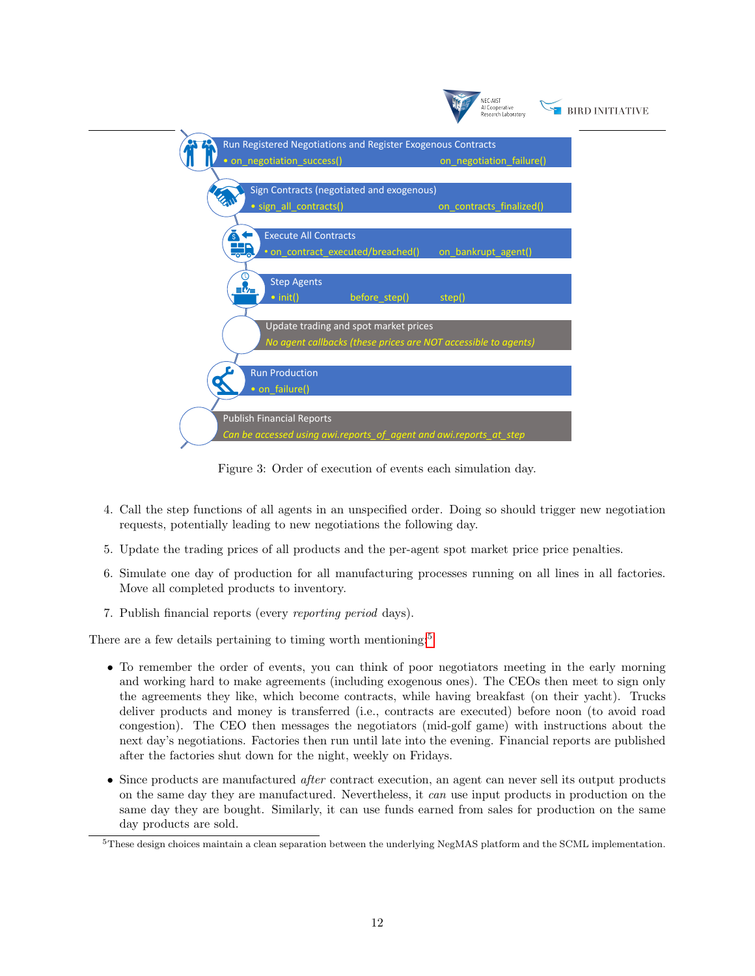<span id="page-11-0"></span>

Figure 3: Order of execution of events each simulation day.

- 4. Call the step functions of all agents in an unspecified order. Doing so should trigger new negotiation requests, potentially leading to new negotiations the following day.
- 5. Update the trading prices of all products and the per-agent spot market price price penalties.
- 6. Simulate one day of production for all manufacturing processes running on all lines in all factories. Move all completed products to inventory.
- 7. Publish financial reports (every reporting period days).

There are a few details pertaining to timing worth mentioning:<sup>[5](#page-11-1)</sup>

- To remember the order of events, you can think of poor negotiators meeting in the early morning and working hard to make agreements (including exogenous ones). The CEOs then meet to sign only the agreements they like, which become contracts, while having breakfast (on their yacht). Trucks deliver products and money is transferred (i.e., contracts are executed) before noon (to avoid road congestion). The CEO then messages the negotiators (mid-golf game) with instructions about the next day's negotiations. Factories then run until late into the evening. Financial reports are published after the factories shut down for the night, weekly on Fridays.
- Since products are manufactured *after* contract execution, an agent can never sell its output products on the same day they are manufactured. Nevertheless, it can use input products in production on the same day they are bought. Similarly, it can use funds earned from sales for production on the same day products are sold.

<span id="page-11-1"></span><sup>5</sup>These design choices maintain a clean separation between the underlying NegMAS platform and the SCML implementation.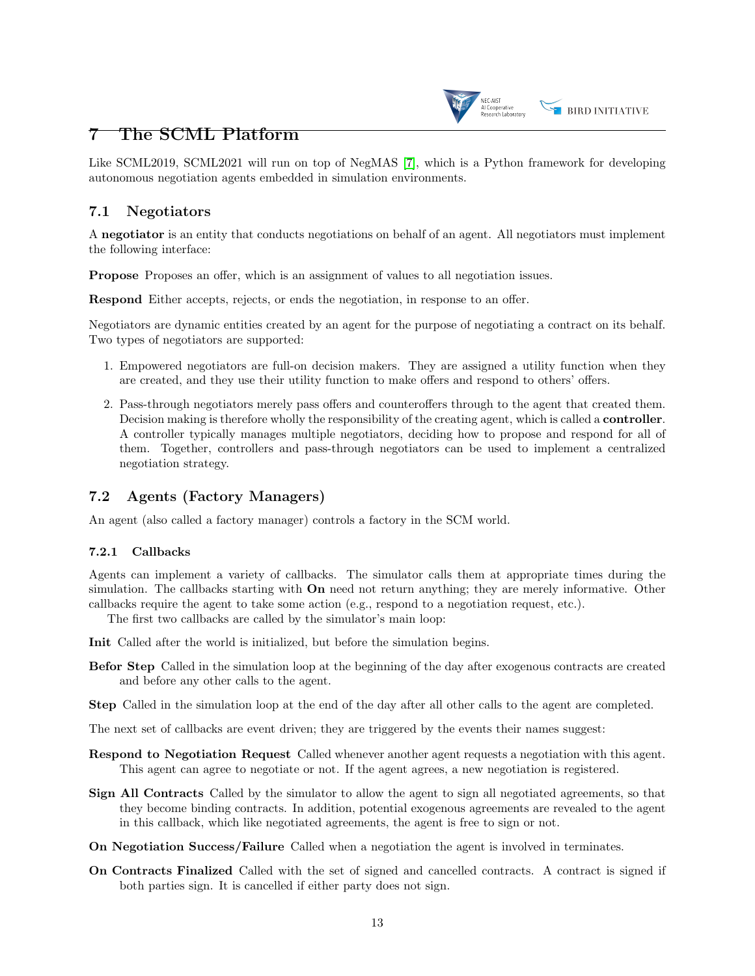

## <span id="page-12-0"></span>7 The SCML Platform

Like SCML2019, SCML2021 will run on top of NegMAS [\[7\]](#page-19-5), which is a Python framework for developing autonomous negotiation agents embedded in simulation environments.

## <span id="page-12-1"></span>7.1 Negotiators

A negotiator is an entity that conducts negotiations on behalf of an agent. All negotiators must implement the following interface:

Propose Proposes an offer, which is an assignment of values to all negotiation issues.

Respond Either accepts, rejects, or ends the negotiation, in response to an offer.

Negotiators are dynamic entities created by an agent for the purpose of negotiating a contract on its behalf. Two types of negotiators are supported:

- 1. Empowered negotiators are full-on decision makers. They are assigned a utility function when they are created, and they use their utility function to make offers and respond to others' offers.
- 2. Pass-through negotiators merely pass offers and counteroffers through to the agent that created them. Decision making is therefore wholly the responsibility of the creating agent, which is called a controller. A controller typically manages multiple negotiators, deciding how to propose and respond for all of them. Together, controllers and pass-through negotiators can be used to implement a centralized negotiation strategy.

## <span id="page-12-2"></span>7.2 Agents (Factory Managers)

An agent (also called a factory manager) controls a factory in the SCM world.

### <span id="page-12-3"></span>7.2.1 Callbacks

Agents can implement a variety of callbacks. The simulator calls them at appropriate times during the simulation. The callbacks starting with **On** need not return anything; they are merely informative. Other callbacks require the agent to take some action (e.g., respond to a negotiation request, etc.).

The first two callbacks are called by the simulator's main loop:

Init Called after the world is initialized, but before the simulation begins.

- Befor Step Called in the simulation loop at the beginning of the day after exogenous contracts are created and before any other calls to the agent.
- Step Called in the simulation loop at the end of the day after all other calls to the agent are completed.

The next set of callbacks are event driven; they are triggered by the events their names suggest:

- Respond to Negotiation Request Called whenever another agent requests a negotiation with this agent. This agent can agree to negotiate or not. If the agent agrees, a new negotiation is registered.
- Sign All Contracts Called by the simulator to allow the agent to sign all negotiated agreements, so that they become binding contracts. In addition, potential exogenous agreements are revealed to the agent in this callback, which like negotiated agreements, the agent is free to sign or not.

On Negotiation Success/Failure Called when a negotiation the agent is involved in terminates.

On Contracts Finalized Called with the set of signed and cancelled contracts. A contract is signed if both parties sign. It is cancelled if either party does not sign.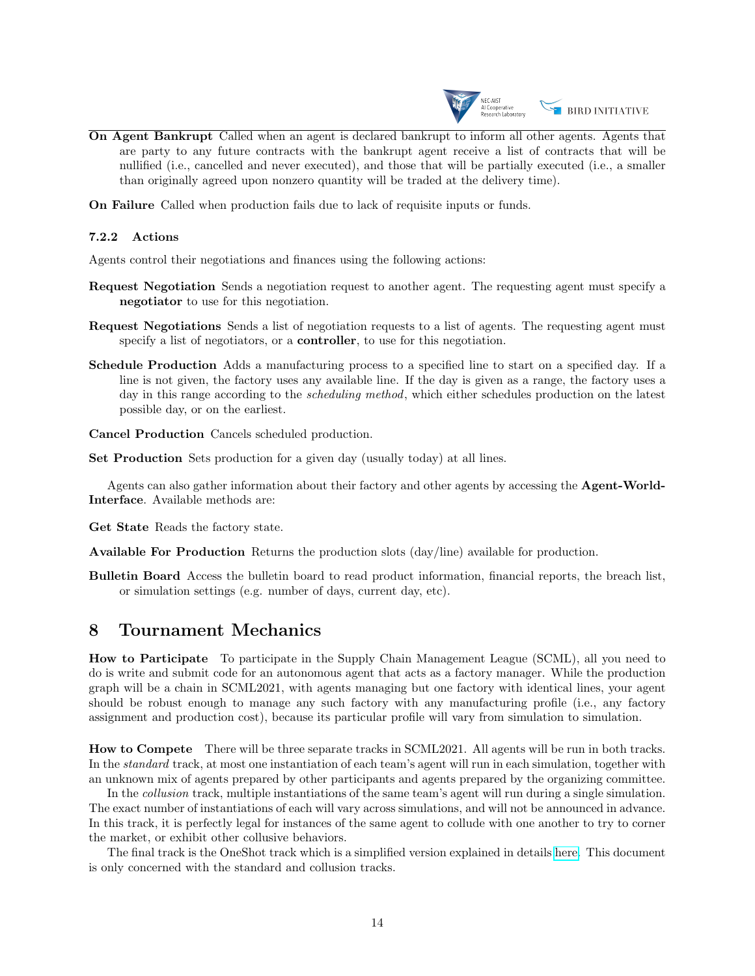

On Agent Bankrupt Called when an agent is declared bankrupt to inform all other agents. Agents that are party to any future contracts with the bankrupt agent receive a list of contracts that will be nullified (i.e., cancelled and never executed), and those that will be partially executed (i.e., a smaller than originally agreed upon nonzero quantity will be traded at the delivery time).

On Failure Called when production fails due to lack of requisite inputs or funds.

### <span id="page-13-0"></span>7.2.2 Actions

Agents control their negotiations and finances using the following actions:

- Request Negotiation Sends a negotiation request to another agent. The requesting agent must specify a negotiator to use for this negotiation.
- Request Negotiations Sends a list of negotiation requests to a list of agents. The requesting agent must specify a list of negotiators, or a controller, to use for this negotiation.
- Schedule Production Adds a manufacturing process to a specified line to start on a specified day. If a line is not given, the factory uses any available line. If the day is given as a range, the factory uses a day in this range according to the *scheduling method*, which either schedules production on the latest possible day, or on the earliest.

Cancel Production Cancels scheduled production.

Set Production Sets production for a given day (usually today) at all lines.

Agents can also gather information about their factory and other agents by accessing the Agent-World-Interface. Available methods are:

Get State Reads the factory state.

Available For Production Returns the production slots (day/line) available for production.

Bulletin Board Access the bulletin board to read product information, financial reports, the breach list, or simulation settings (e.g. number of days, current day, etc).

## <span id="page-13-1"></span>8 Tournament Mechanics

How to Participate To participate in the Supply Chain Management League (SCML), all you need to do is write and submit code for an autonomous agent that acts as a factory manager. While the production graph will be a chain in SCML2021, with agents managing but one factory with identical lines, your agent should be robust enough to manage any such factory with any manufacturing profile (i.e., any factory assignment and production cost), because its particular profile will vary from simulation to simulation.

How to Compete There will be three separate tracks in SCML2021. All agents will be run in both tracks. In the *standard* track, at most one instantiation of each team's agent will run in each simulation, together with an unknown mix of agents prepared by other participants and agents prepared by the organizing committee.

In the collusion track, multiple instantiations of the same team's agent will run during a single simulation. The exact number of instantiations of each will vary across simulations, and will not be announced in advance. In this track, it is perfectly legal for instances of the same agent to collude with one another to try to corner the market, or exhibit other collusive behaviors.

The final track is the OneShot track which is a simplified version explained in details [here.](http://www.yasserm.com/scml/scml2020oneshot.pdf) This document is only concerned with the standard and collusion tracks.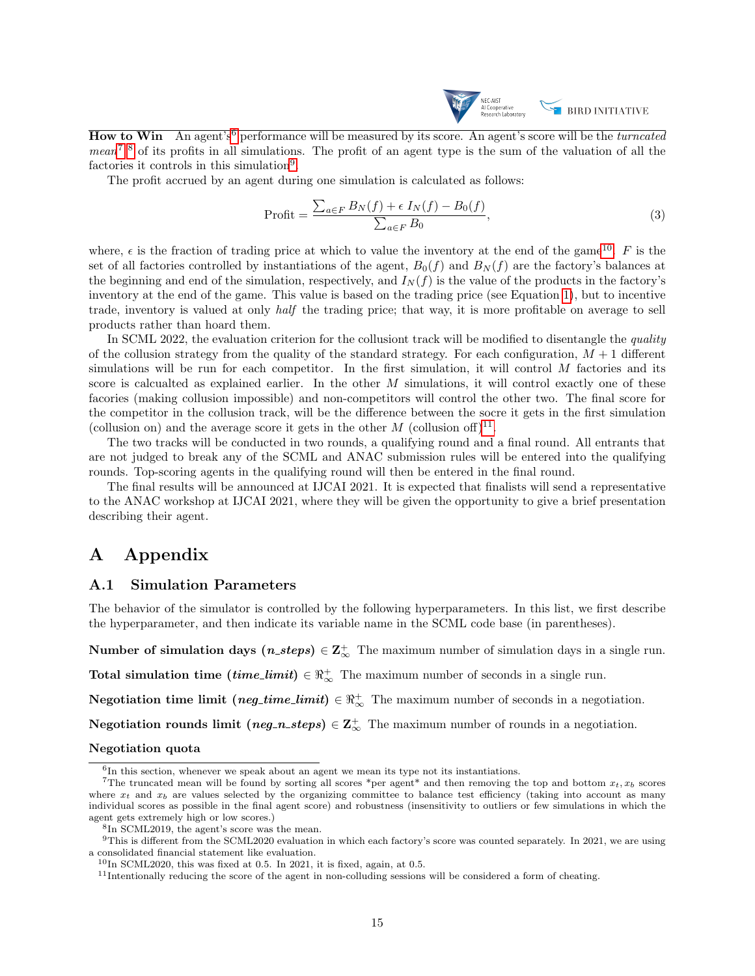

How to Win An agent's<sup>[6](#page-14-2)</sup> performance will be measured by its score. An agent's score will be the turncated  $mean<sup>7</sup>$  $mean<sup>7</sup>$  $mean<sup>7</sup>$  [8](#page-14-4) of its profits in all simulations. The profit of an agent type is the sum of the valuation of all the factories it controls in this simulation<sup>[9](#page-14-5)</sup>.

The profit accrued by an agent during one simulation is calculated as follows:

$$
\text{Profit} = \frac{\sum_{a \in F} B_N(f) + \epsilon I_N(f) - B_0(f)}{\sum_{a \in F} B_0},\tag{3}
$$

where,  $\epsilon$  is the fraction of trading price at which to value the inventory at the end of the game<sup>[10](#page-14-6)</sup>. F is the set of all factories controlled by instantiations of the agent,  $B_0(f)$  and  $B_N(f)$  are the factory's balances at the beginning and end of the simulation, respectively, and  $I<sub>N</sub>(f)$  is the value of the products in the factory's inventory at the end of the game. This value is based on the trading price (see Equation [1\)](#page-8-3), but to incentive trade, inventory is valued at only half the trading price; that way, it is more profitable on average to sell products rather than hoard them.

In SCML 2022, the evaluation criterion for the collusiont track will be modified to disentangle the quality of the collusion strategy from the quality of the standard strategy. For each configuration,  $M + 1$  different simulations will be run for each competitor. In the first simulation, it will control M factories and its score is calcualted as explained earlier. In the other M simulations, it will control exactly one of these facories (making collusion impossible) and non-competitors will control the other two. The final score for the competitor in the collusion track, will be the difference between the socre it gets in the first simulation (collusion on) and the average score it gets in the other  $M$  (collusion off)<sup>[11](#page-14-7)</sup>.

The two tracks will be conducted in two rounds, a qualifying round and a final round. All entrants that are not judged to break any of the SCML and ANAC submission rules will be entered into the qualifying rounds. Top-scoring agents in the qualifying round will then be entered in the final round.

The final results will be announced at IJCAI 2021. It is expected that finalists will send a representative to the ANAC workshop at IJCAI 2021, where they will be given the opportunity to give a brief presentation describing their agent.

## <span id="page-14-0"></span>A Appendix

#### <span id="page-14-1"></span>A.1 Simulation Parameters

The behavior of the simulator is controlled by the following hyperparameters. In this list, we first describe the hyperparameter, and then indicate its variable name in the SCML code base (in parentheses).

Number of simulation days  $(n\_steps) \in \mathbb{Z}^+_{\infty}$  The maximum number of simulation days in a single run.

Total simulation time  $(time\_limit) \in \mathbb{R}^+_{\infty}$  The maximum number of seconds in a single run.

Negotiation time limit (neg\_time\_limit)  $\in \mathbb{R}^+_\infty$  The maximum number of seconds in a negotiation.

Negotiation rounds limit (neg\_n\_steps)  $\in \mathbf{Z}^+_\infty$  The maximum number of rounds in a negotiation.

#### Negotiation quota

<span id="page-14-3"></span><span id="page-14-2"></span><sup>&</sup>lt;sup>6</sup>In this section, whenever we speak about an agent we mean its type not its instantiations.

<sup>&</sup>lt;sup>7</sup>The truncated mean will be found by sorting all scores \*per agent\* and then removing the top and bottom  $x_t, x_b$  scores where  $x_t$  and  $x_b$  are values selected by the organizing committee to balance test efficiency (taking into account as many individual scores as possible in the final agent score) and robustness (insensitivity to outliers or few simulations in which the agent gets extremely high or low scores.)

<span id="page-14-5"></span><span id="page-14-4"></span><sup>8</sup> In SCML2019, the agent's score was the mean.

<sup>9</sup>This is different from the SCML2020 evaluation in which each factory's score was counted separately. In 2021, we are using a consolidated financial statement like evaluation.

<span id="page-14-6"></span> $^{10}\mathrm{In}$  SCML2020, this was fixed at 0.5. In 2021, it is fixed, again, at 0.5.

<span id="page-14-7"></span> $11$ Intentionally reducing the score of the agent in non-colluding sessions will be considered a form of cheating.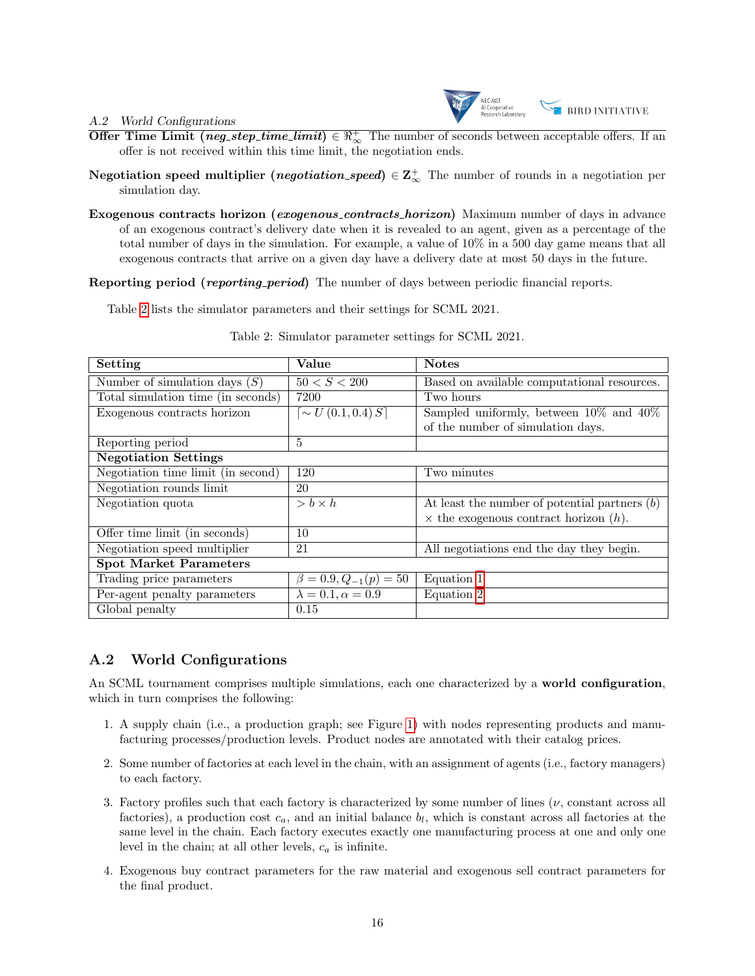#### A.2 World Configurations



- Offer Time Limit (*neg\_step\_time\_limit*)  $\in \Re_{\infty}^+$  The number of seconds between acceptable offers. If an offer is not received within this time limit, the negotiation ends.
- Negotiation speed multiplier (negotiation speed)  $\in \mathbb{Z}_{\infty}^{+}$  The number of rounds in a negotiation per simulation day.
- Exogenous contracts horizon (exogenous contracts horizon) Maximum number of days in advance of an exogenous contract's delivery date when it is revealed to an agent, given as a percentage of the total number of days in the simulation. For example, a value of 10% in a 500 day game means that all exogenous contracts that arrive on a given day have a delivery date at most 50 days in the future.

Reporting period (reporting period) The number of days between periodic financial reports.

<span id="page-15-1"></span>Table [2](#page-15-1) lists the simulator parameters and their settings for SCML 2021.

| Setting                            | Value                         | <b>Notes</b>                                    |  |  |
|------------------------------------|-------------------------------|-------------------------------------------------|--|--|
| Number of simulation days $(S)$    | 50 < S < 200                  | Based on available computational resources.     |  |  |
| Total simulation time (in seconds) | 7200                          | Two hours                                       |  |  |
| Exogenous contracts horizon        | $\sim U(0.1, 0.4) S$          | Sampled uniformly, between $10\%$ and $40\%$    |  |  |
|                                    |                               | of the number of simulation days.               |  |  |
| Reporting period                   | 5                             |                                                 |  |  |
| <b>Negotiation Settings</b>        |                               |                                                 |  |  |
| Negotiation time limit (in second) | 120                           | Two minutes                                     |  |  |
| Negotiation rounds limit           | 20                            |                                                 |  |  |
| Negotiation quota                  | $\overline{>b}\times h$       | At least the number of potential partners $(b)$ |  |  |
|                                    |                               | $\times$ the exogenous contract horizon $(h)$ . |  |  |
| Offer time limit (in seconds)      | 10                            |                                                 |  |  |
| Negotiation speed multiplier       | 21                            | All negotiations end the day they begin.        |  |  |
| <b>Spot Market Parameters</b>      |                               |                                                 |  |  |
| Trading price parameters           | $\beta = 0.9, Q_{-1}(p) = 50$ | Equation 1                                      |  |  |
| Per-agent penalty parameters       | $\lambda = 0.1, \alpha = 0.9$ | Equation 2                                      |  |  |
| Global penalty                     | 0.15                          |                                                 |  |  |

Table 2: Simulator parameter settings for SCML 2021.

## <span id="page-15-0"></span>A.2 World Configurations

An SCML tournament comprises multiple simulations, each one characterized by a world configuration, which in turn comprises the following:

- 1. A supply chain (i.e., a production graph; see Figure [1\)](#page-2-1) with nodes representing products and manufacturing processes/production levels. Product nodes are annotated with their catalog prices.
- 2. Some number of factories at each level in the chain, with an assignment of agents (i.e., factory managers) to each factory.
- 3. Factory profiles such that each factory is characterized by some number of lines  $(\nu, \text{ constant across all})$ factories), a production cost  $c_a$ , and an initial balance  $b_l$ , which is constant across all factories at the same level in the chain. Each factory executes exactly one manufacturing process at one and only one level in the chain; at all other levels,  $c_a$  is infinite.
- 4. Exogenous buy contract parameters for the raw material and exogenous sell contract parameters for the final product.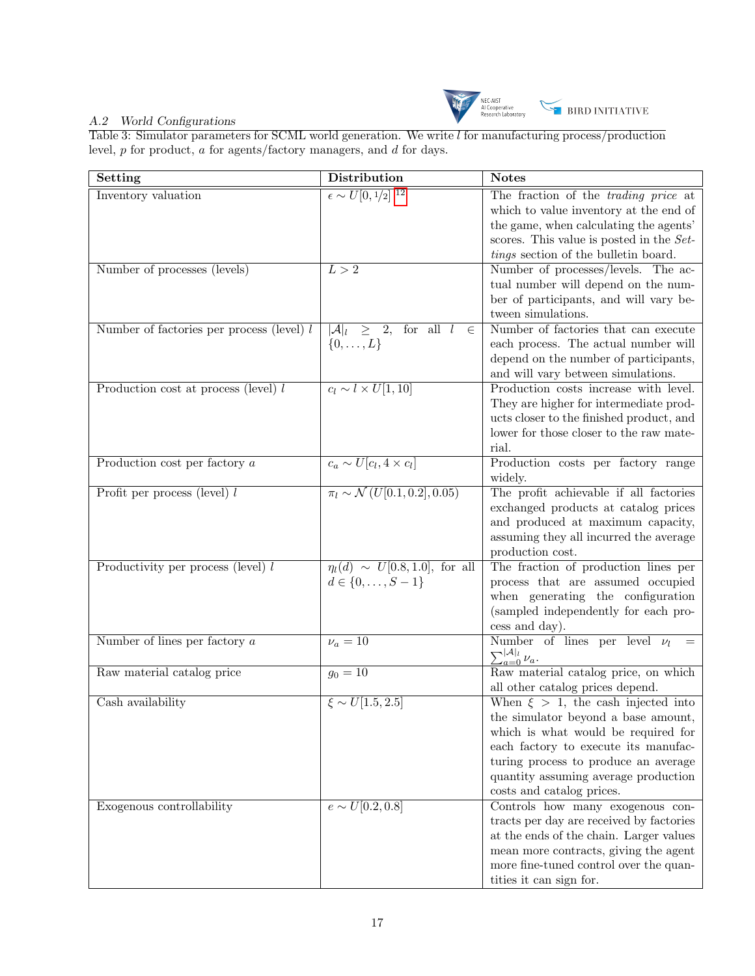

### <span id="page-16-0"></span>A.2 World Configurations

Table 3: Simulator parameters for SCML world generation. We write l for manufacturing process/production level,  $p$  for product,  $a$  for agents/factory managers, and  $d$  for days.

| <b>Setting</b>                              | <b>Distribution</b>                         | <b>Notes</b>                                |
|---------------------------------------------|---------------------------------------------|---------------------------------------------|
| Inventory valuation                         | $\epsilon \sim U[0, 1/2]$ <sup>12</sup>     | The fraction of the <i>trading price</i> at |
|                                             |                                             | which to value inventory at the end of      |
|                                             |                                             | the game, when calculating the agents'      |
|                                             |                                             | scores. This value is posted in the Set-    |
|                                             |                                             | tings section of the bulletin board.        |
| Number of processes (levels)                | L>2                                         | Number of processes/levels. The ac-         |
|                                             |                                             | tual number will depend on the num-         |
|                                             |                                             | ber of participants, and will vary be-      |
|                                             |                                             | tween simulations.                          |
| Number of factories per process (level) $l$ | $\geq$ 2, for all l<br>$ A _l$<br>$\in$     | Number of factories that can execute        |
|                                             | $\{0,\ldots,L\}$                            | each process. The actual number will        |
|                                             |                                             | depend on the number of participants,       |
|                                             |                                             | and will vary between simulations.          |
| Production cost at process (level) $l$      | $c_l \sim l \times U[1, 10]$                | Production costs increase with level.       |
|                                             |                                             | They are higher for intermediate prod-      |
|                                             |                                             | ucts closer to the finished product, and    |
|                                             |                                             | lower for those closer to the raw mate-     |
|                                             |                                             | rial.                                       |
| Production cost per factory $a$             | $c_a \sim U[c_l, 4 \times c_l]$             | Production costs per factory range          |
|                                             |                                             | widely.                                     |
| Profit per process (level) $l$              | $\pi_l \sim \mathcal{N}(U[0.1, 0.2], 0.05)$ | The profit achievable if all factories      |
|                                             |                                             | exchanged products at catalog prices        |
|                                             |                                             | and produced at maximum capacity,           |
|                                             |                                             | assuming they all incurred the average      |
|                                             |                                             | production cost.                            |
| Productivity per process (level) $l$        | $\eta_l(d) \sim U[0.8, 1.0],$ for all       | The fraction of production lines per        |
|                                             | $d \in \{0, \ldots, S-1\}$                  | process that are assumed occupied           |
|                                             |                                             | when generating the configuration           |
|                                             |                                             | (sampled independently for each pro-        |
|                                             |                                             | cess and day).                              |
| Number of lines per factory $a$             | $\nu_a = 10$                                | Number of lines per level $\nu_l$<br>$=$    |
|                                             |                                             | $\sum_{a=0}^{ \mathcal{A} _l} \nu_a.$       |
| Raw material catalog price                  | $g_0 = 10$                                  | Raw material catalog price, on which        |
|                                             |                                             | all other catalog prices depend.            |
| Cash availability                           | $\xi \sim U[1.5, 2.5]$                      | When $\xi > 1$ , the cash injected into     |
|                                             |                                             | the simulator beyond a base amount.         |
|                                             |                                             | which is what would be required for         |
|                                             |                                             | each factory to execute its manufac-        |
|                                             |                                             | turing process to produce an average        |
|                                             |                                             | quantity assuming average production        |
|                                             |                                             | costs and catalog prices.                   |
| Exogenous controllability                   | $e \sim U[0.2, 0.8]$                        | Controls how many exogenous con-            |
|                                             |                                             | tracts per day are received by factories    |
|                                             |                                             | at the ends of the chain. Larger values     |
|                                             |                                             | mean more contracts, giving the agent       |
|                                             |                                             | more fine-tuned control over the quan-      |
|                                             |                                             | tities it can sign for.                     |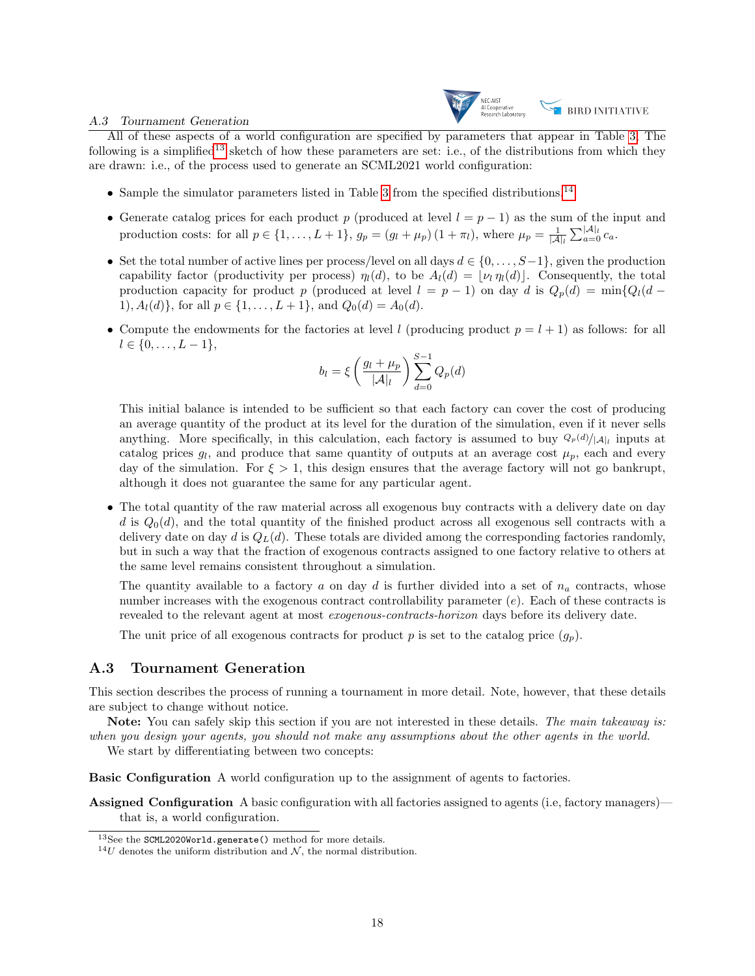#### A.3 Tournament Generation



All of these aspects of a world configuration are specified by parameters that appear in Table [3,](#page-16-0) The following is a simplified<sup>[13](#page-17-1)</sup> sketch of how these parameters are set: i.e., of the distributions from which they are drawn: i.e., of the process used to generate an SCML2021 world configuration:

- Sample the simulator parameters listed in Table [3](#page-16-0) from the specified distributions.<sup>[14](#page-17-2)</sup>
- Generate catalog prices for each product p (produced at level  $l = p 1$ ) as the sum of the input and production costs: for all  $p \in \{1, \ldots, L+1\}$ ,  $g_p = (g_l + \mu_p)(1 + \pi_l)$ , where  $\mu_p = \frac{1}{|\mathcal{A}|_l} \sum_{a=0}^{|\mathcal{A}|_l} c_a$ .
- Set the total number of active lines per process/level on all days  $d \in \{0, \ldots, S-1\}$ , given the production capability factor (productivity per process)  $\eta_l(d)$ , to be  $A_l(d) = |\nu_l \eta_l(d)|$ . Consequently, the total production capacity for product p (produced at level  $l = p - 1$ ) on day d is  $Q_p(d) = \min\{Q_l(d - 1)\}$ 1),  $A_l(d)$ , for all  $p \in \{1, ..., L+1\}$ , and  $Q_0(d) = A_0(d)$ .
- Compute the endowments for the factories at level l (producing product  $p = l + 1$ ) as follows: for all  $l \in \{0, \ldots, L-1\},\$

$$
b_l = \xi \left(\frac{g_l + \mu_p}{|\mathcal{A}|_l}\right) \sum_{d=0}^{S-1} Q_p(d)
$$

This initial balance is intended to be sufficient so that each factory can cover the cost of producing an average quantity of the product at its level for the duration of the simulation, even if it never sells anything. More specifically, in this calculation, each factory is assumed to buy  $\mathcal{Q}_p(d)/|\mathcal{A}|_l$  inputs at catalog prices  $g_l$ , and produce that same quantity of outputs at an average cost  $\mu_p$ , each and every day of the simulation. For  $\xi > 1$ , this design ensures that the average factory will not go bankrupt, although it does not guarantee the same for any particular agent.

• The total quantity of the raw material across all exogenous buy contracts with a delivery date on day d is  $Q_0(d)$ , and the total quantity of the finished product across all exogenous sell contracts with a delivery date on day d is  $Q_L(d)$ . These totals are divided among the corresponding factories randomly, but in such a way that the fraction of exogenous contracts assigned to one factory relative to others at the same level remains consistent throughout a simulation.

The quantity available to a factory a on day d is further divided into a set of  $n_a$  contracts, whose number increases with the exogenous contract controllability parameter (e). Each of these contracts is revealed to the relevant agent at most exogenous-contracts-horizon days before its delivery date.

The unit price of all exogenous contracts for product p is set to the catalog price  $(q_p)$ .

### <span id="page-17-0"></span>A.3 Tournament Generation

This section describes the process of running a tournament in more detail. Note, however, that these details are subject to change without notice.

Note: You can safely skip this section if you are not interested in these details. The main takeaway is: when you design your agents, you should not make any assumptions about the other agents in the world.

We start by differentiating between two concepts:

Basic Configuration A world configuration up to the assignment of agents to factories.

Assigned Configuration A basic configuration with all factories assigned to agents (i.e, factory managers) that is, a world configuration.

<span id="page-17-1"></span><sup>13</sup>See the SCML2020World.generate() method for more details.

<span id="page-17-2"></span> $^{14}U$  denotes the uniform distribution and  $\mathcal{N},$  the normal distribution.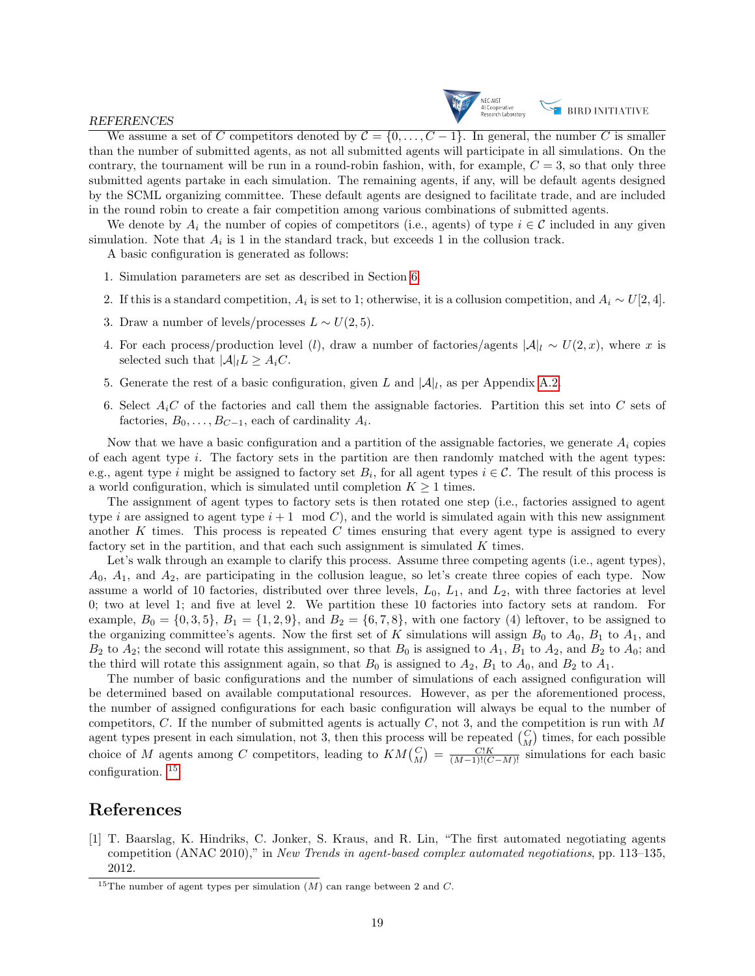#### REFERENCES



We assume a set of C competitors denoted by  $C = \{0, \ldots, C-1\}$ . In general, the number C is smaller than the number of submitted agents, as not all submitted agents will participate in all simulations. On the contrary, the tournament will be run in a round-robin fashion, with, for example,  $C = 3$ , so that only three submitted agents partake in each simulation. The remaining agents, if any, will be default agents designed by the SCML organizing committee. These default agents are designed to facilitate trade, and are included in the round robin to create a fair competition among various combinations of submitted agents.

We denote by  $A_i$  the number of copies of competitors (i.e., agents) of type  $i \in \mathcal{C}$  included in any given simulation. Note that  $A_i$  is 1 in the standard track, but exceeds 1 in the collusion track.

A basic configuration is generated as follows:

- 1. Simulation parameters are set as described in Section [6.](#page-10-2)
- 2. If this is a standard competition,  $A_i$  is set to 1; otherwise, it is a collusion competition, and  $A_i \sim U[2, 4]$ .
- 3. Draw a number of levels/processes  $L \sim U(2, 5)$ .
- 4. For each process/production level (l), draw a number of factories/agents  $|\mathcal{A}|_l \sim U(2,x)$ , where x is selected such that  $|A|_l L \geq A_i C$ .
- 5. Generate the rest of a basic configuration, given L and  $|\mathcal{A}|_l$ , as per Appendix [A.2.](#page-15-0)
- 6. Select  $A_iC$  of the factories and call them the assignable factories. Partition this set into C sets of factories,  $B_0, \ldots, B_{C-1}$ , each of cardinality  $A_i$ .

Now that we have a basic configuration and a partition of the assignable factories, we generate  $A_i$  copies of each agent type  $i$ . The factory sets in the partition are then randomly matched with the agent types: e.g., agent type i might be assigned to factory set  $B_i$ , for all agent types  $i \in \mathcal{C}$ . The result of this process is a world configuration, which is simulated until completion  $K \geq 1$  times.

The assignment of agent types to factory sets is then rotated one step (i.e., factories assigned to agent type i are assigned to agent type  $i+1 \mod C$ , and the world is simulated again with this new assignment another K times. This process is repeated  $C$  times ensuring that every agent type is assigned to every factory set in the partition, and that each such assignment is simulated K times.

Let's walk through an example to clarify this process. Assume three competing agents (i.e., agent types),  $A_0$ ,  $A_1$ , and  $A_2$ , are participating in the collusion league, so let's create three copies of each type. Now assume a world of 10 factories, distributed over three levels,  $L_0$ ,  $L_1$ , and  $L_2$ , with three factories at level 0; two at level 1; and five at level 2. We partition these 10 factories into factory sets at random. For example,  $B_0 = \{0, 3, 5\}, B_1 = \{1, 2, 9\}, \text{ and } B_2 = \{6, 7, 8\}, \text{ with one factory (4) leftover, to be assigned to }$ the organizing committee's agents. Now the first set of K simulations will assign  $B_0$  to  $A_0$ ,  $B_1$  to  $A_1$ , and  $B_2$  to  $A_2$ ; the second will rotate this assignment, so that  $B_0$  is assigned to  $A_1$ ,  $B_1$  to  $A_2$ , and  $B_2$  to  $A_0$ ; and the third will rotate this assignment again, so that  $B_0$  is assigned to  $A_2$ ,  $B_1$  to  $A_0$ , and  $B_2$  to  $A_1$ .

The number of basic configurations and the number of simulations of each assigned configuration will be determined based on available computational resources. However, as per the aforementioned process, the number of assigned configurations for each basic configuration will always be equal to the number of competitors,  $C$ . If the number of submitted agents is actually  $C$ , not 3, and the competition is run with  $M$ agent types present in each simulation, not 3, then this process will be repeated  $\binom{C}{M}$  times, for each possible choice of M agents among C competitors, leading to  $KM\binom{C}{M} = \frac{C!K}{(M-1)!(C-M)!}$  simulations for each basic configuration. [15](#page-18-1)

### References

<span id="page-18-0"></span>[1] T. Baarslag, K. Hindriks, C. Jonker, S. Kraus, and R. Lin, "The first automated negotiating agents competition (ANAC 2010)," in New Trends in agent-based complex automated negotiations, pp. 113–135, 2012.

<span id="page-18-1"></span><sup>&</sup>lt;sup>15</sup>The number of agent types per simulation  $(M)$  can range between 2 and C.